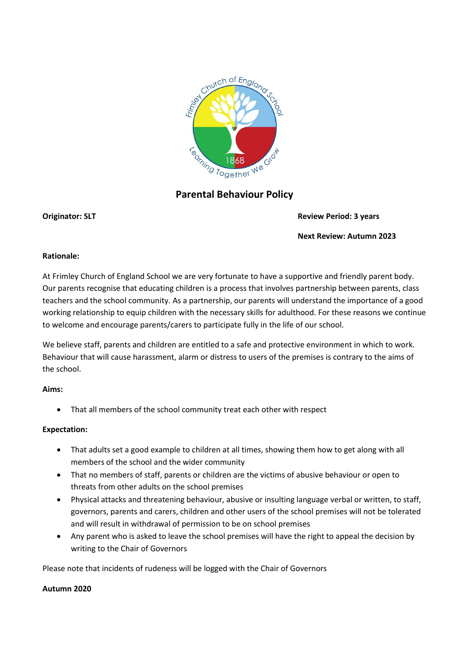

# **Parental Behaviour Policy**

#### **Originator: SLT Review Period: 3 years**

**Next Review: Autumn 2023**

# **Rationale:**

At Frimley Church of England School we are very fortunate to have a supportive and friendly parent body. Our parents recognise that educating children is a process that involves partnership between parents, class teachers and the school community. As a partnership, our parents will understand the importance of a good working relationship to equip children with the necessary skills for adulthood. For these reasons we continue to welcome and encourage parents/carers to participate fully in the life of our school.

We believe staff, parents and children are entitled to a safe and protective environment in which to work. Behaviour that will cause harassment, alarm or distress to users of the premises is contrary to the aims of the school.

# **Aims:**

That all members of the school community treat each other with respect

# **Expectation:**

- That adults set a good example to children at all times, showing them how to get along with all members of the school and the wider community
- That no members of staff, parents or children are the victims of abusive behaviour or open to threats from other adults on the school premises
- Physical attacks and threatening behaviour, abusive or insulting language verbal or written, to staff, governors, parents and carers, children and other users of the school premises will not be tolerated and will result in withdrawal of permission to be on school premises
- Any parent who is asked to leave the school premises will have the right to appeal the decision by writing to the Chair of Governors

Please note that incidents of rudeness will be logged with the Chair of Governors

# **Autumn 2020**